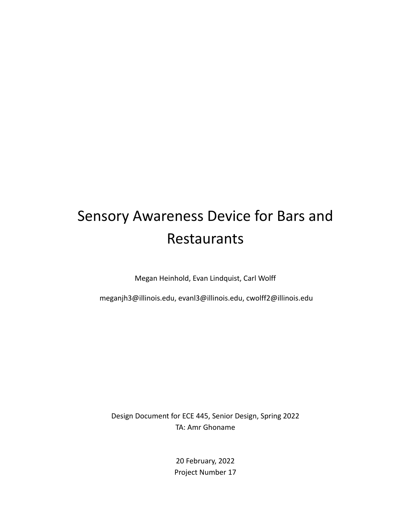# Sensory Awareness Device for Bars and Restaurants

Megan Heinhold, Evan Lindquist, Carl Wolff

meganjh3@illinois.edu, evanl3@illinois.edu, cwolff2@illinois.edu

Design Document for ECE 445, Senior Design, Spring 2022 TA: Amr Ghoname

> 20 February, 2022 Project Number 17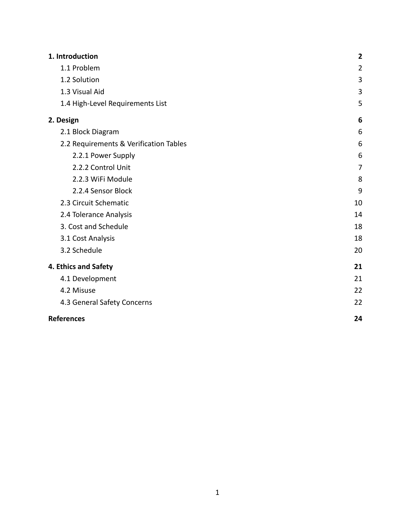| 1. Introduction                        | $\mathbf{2}$   |
|----------------------------------------|----------------|
| 1.1 Problem                            | $\overline{2}$ |
| 1.2 Solution                           | 3              |
| 1.3 Visual Aid                         | 3              |
| 1.4 High-Level Requirements List       | 5              |
| 2. Design                              | 6              |
| 2.1 Block Diagram                      | 6              |
| 2.2 Requirements & Verification Tables | 6              |
| 2.2.1 Power Supply                     | 6              |
| 2.2.2 Control Unit                     | 7              |
| 2.2.3 WiFi Module                      | 8              |
| 2.2.4 Sensor Block                     | 9              |
| 2.3 Circuit Schematic                  | 10             |
| 2.4 Tolerance Analysis                 | 14             |
| 3. Cost and Schedule                   | 18             |
| 3.1 Cost Analysis                      | 18             |
| 3.2 Schedule                           | 20             |
| 4. Ethics and Safety                   | 21             |
| 4.1 Development                        | 21             |
| 4.2 Misuse                             | 22             |
| 4.3 General Safety Concerns            | 22             |
| <b>References</b>                      | 24             |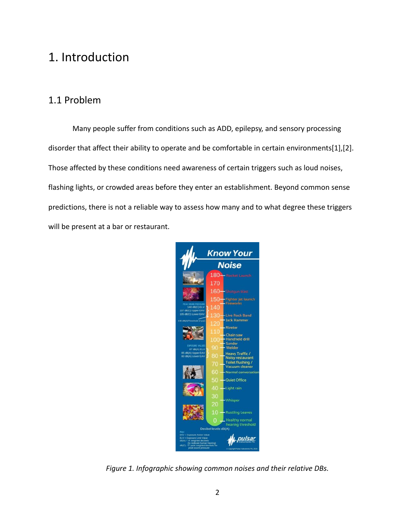## <span id="page-2-0"></span>1. Introduction

## <span id="page-2-1"></span>1.1 Problem

Many people suffer from conditions such as ADD, epilepsy, and sensory processing disorder that affect their ability to operate and be comfortable in certain environments[1],[2]. Those affected by these conditions need awareness of certain triggers such as loud noises, flashing lights, or crowded areas before they enter an establishment. Beyond common sense predictions, there is not a reliable way to assess how many and to what degree these triggers will be present at a bar or restaurant.



*Figure 1. Infographic showing common noises and their relative DBs.*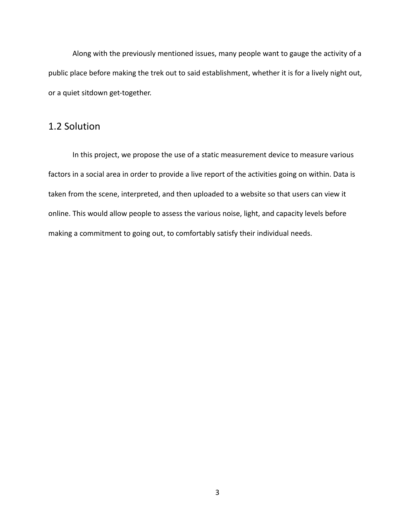Along with the previously mentioned issues, many people want to gauge the activity of a public place before making the trek out to said establishment, whether it is for a lively night out, or a quiet sitdown get-together.

### <span id="page-3-0"></span>1.2 Solution

<span id="page-3-1"></span>In this project, we propose the use of a static measurement device to measure various factors in a social area in order to provide a live report of the activities going on within. Data is taken from the scene, interpreted, and then uploaded to a website so that users can view it online. This would allow people to assess the various noise, light, and capacity levels before making a commitment to going out, to comfortably satisfy their individual needs.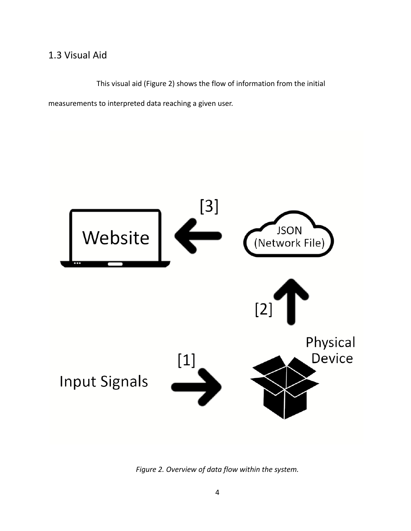## 1.3 Visual Aid

This visual aid (Figure 2) shows the flow of information from the initial

measurements to interpreted data reaching a given user.



*Figure 2. Overview of data flow within the system.*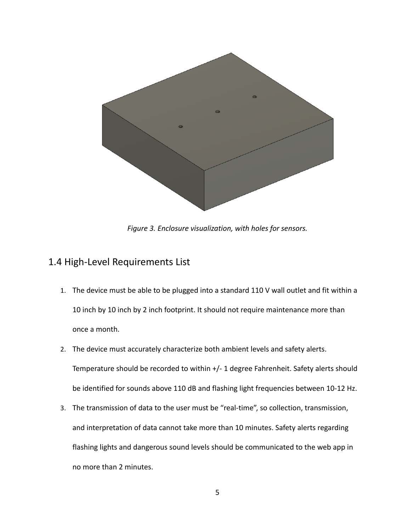

*Figure 3. Enclosure visualization, with holes for sensors.*

### <span id="page-5-0"></span>1.4 High-Level Requirements List

- 1. The device must be able to be plugged into a standard 110 V wall outlet and fit within a 10 inch by 10 inch by 2 inch footprint. It should not require maintenance more than once a month.
- 2. The device must accurately characterize both ambient levels and safety alerts. Temperature should be recorded to within +/- 1 degree Fahrenheit. Safety alerts should be identified for sounds above 110 dB and flashing light frequencies between 10-12 Hz.
- 3. The transmission of data to the user must be "real-time", so collection, transmission, and interpretation of data cannot take more than 10 minutes. Safety alerts regarding flashing lights and dangerous sound levels should be communicated to the web app in no more than 2 minutes.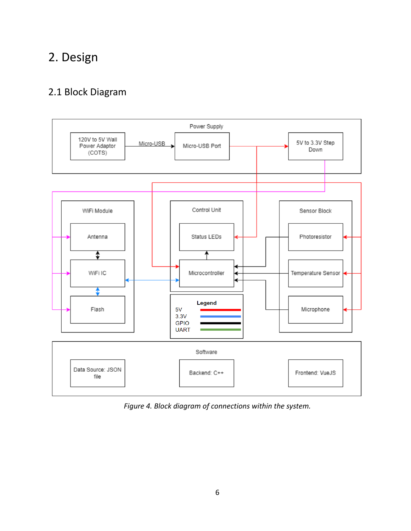## <span id="page-6-0"></span>2. Design

## <span id="page-6-1"></span>2.1 Block Diagram



*Figure 4. Block diagram of connections within the system.*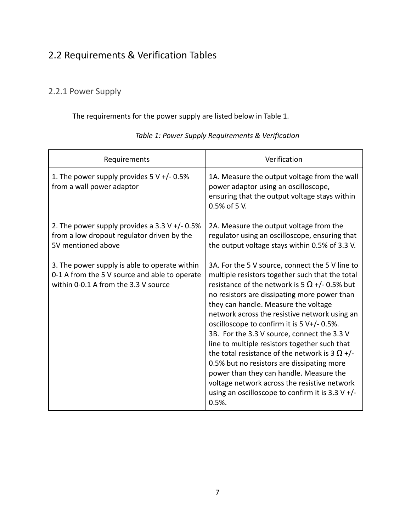## <span id="page-7-0"></span>2.2 Requirements & Verification Tables

### <span id="page-7-1"></span>2.2.1 Power Supply

The requirements for the power supply are listed below in Table 1.

<span id="page-7-2"></span>

| Requirements                                                                                                                           | Verification                                                                                                                                                                                                                                                                                                                                                                                                                                                                                                                                                                                                                                                                                                           |  |
|----------------------------------------------------------------------------------------------------------------------------------------|------------------------------------------------------------------------------------------------------------------------------------------------------------------------------------------------------------------------------------------------------------------------------------------------------------------------------------------------------------------------------------------------------------------------------------------------------------------------------------------------------------------------------------------------------------------------------------------------------------------------------------------------------------------------------------------------------------------------|--|
| 1. The power supply provides $5 V +/- 0.5%$<br>from a wall power adaptor                                                               | 1A. Measure the output voltage from the wall<br>power adaptor using an oscilloscope,<br>ensuring that the output voltage stays within<br>0.5% of 5 V.                                                                                                                                                                                                                                                                                                                                                                                                                                                                                                                                                                  |  |
| 2. The power supply provides a $3.3 V +/- 0.5%$<br>from a low dropout regulator driven by the<br>5V mentioned above                    | 2A. Measure the output voltage from the<br>regulator using an oscilloscope, ensuring that<br>the output voltage stays within 0.5% of 3.3 V.                                                                                                                                                                                                                                                                                                                                                                                                                                                                                                                                                                            |  |
| 3. The power supply is able to operate within<br>0-1 A from the 5 V source and able to operate<br>within 0-0.1 A from the 3.3 V source | 3A. For the 5 V source, connect the 5 V line to<br>multiple resistors together such that the total<br>resistance of the network is 5 $\Omega$ +/- 0.5% but<br>no resistors are dissipating more power than<br>they can handle. Measure the voltage<br>network across the resistive network using an<br>oscilloscope to confirm it is $5 V+/- 0.5\%$ .<br>3B. For the 3.3 V source, connect the 3.3 V<br>line to multiple resistors together such that<br>the total resistance of the network is 3 $\Omega$ +/-<br>0.5% but no resistors are dissipating more<br>power than they can handle. Measure the<br>voltage network across the resistive network<br>using an oscilloscope to confirm it is 3.3 V $+$ /-<br>0.5% |  |

#### *Table 1: Power Supply Requirements & Verification*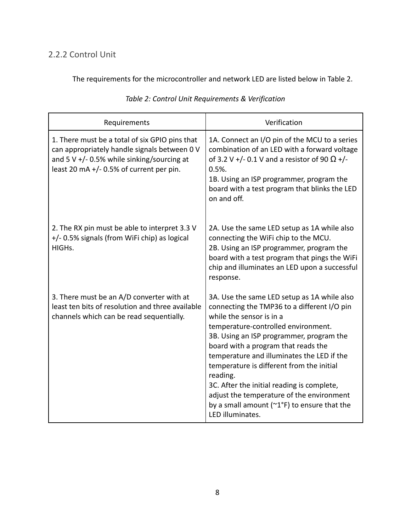### 2.2.2 Control Unit

The requirements for the microcontroller and network LED are listed below in Table 2.

| Requirements                                                                                                                                                                                 | Verification                                                                                                                                                                                                                                                                                                                                                                                                                                                                                                                   |
|----------------------------------------------------------------------------------------------------------------------------------------------------------------------------------------------|--------------------------------------------------------------------------------------------------------------------------------------------------------------------------------------------------------------------------------------------------------------------------------------------------------------------------------------------------------------------------------------------------------------------------------------------------------------------------------------------------------------------------------|
| 1. There must be a total of six GPIO pins that<br>can appropriately handle signals between 0 V<br>and 5 V $+/-$ 0.5% while sinking/sourcing at<br>least 20 mA $+/-$ 0.5% of current per pin. | 1A. Connect an I/O pin of the MCU to a series<br>combination of an LED with a forward voltage<br>of 3.2 V +/- 0.1 V and a resistor of 90 $\Omega$ +/-<br>$0.5%$ .<br>1B. Using an ISP programmer, program the<br>board with a test program that blinks the LED<br>on and off.                                                                                                                                                                                                                                                  |
| 2. The RX pin must be able to interpret 3.3 V<br>+/- 0.5% signals (from WiFi chip) as logical<br>HIGH <sub>s</sub> .                                                                         | 2A. Use the same LED setup as 1A while also<br>connecting the WiFi chip to the MCU.<br>2B. Using an ISP programmer, program the<br>board with a test program that pings the WiFi<br>chip and illuminates an LED upon a successful<br>response.                                                                                                                                                                                                                                                                                 |
| 3. There must be an A/D converter with at<br>least ten bits of resolution and three available<br>channels which can be read sequentially.                                                    | 3A. Use the same LED setup as 1A while also<br>connecting the TMP36 to a different I/O pin<br>while the sensor is in a<br>temperature-controlled environment.<br>3B. Using an ISP programmer, program the<br>board with a program that reads the<br>temperature and illuminates the LED if the<br>temperature is different from the initial<br>reading.<br>3C. After the initial reading is complete,<br>adjust the temperature of the environment<br>by a small amount ( $\gamma$ 1°F) to ensure that the<br>LED illuminates. |

#### *Table 2: Control Unit Requirements & Verification*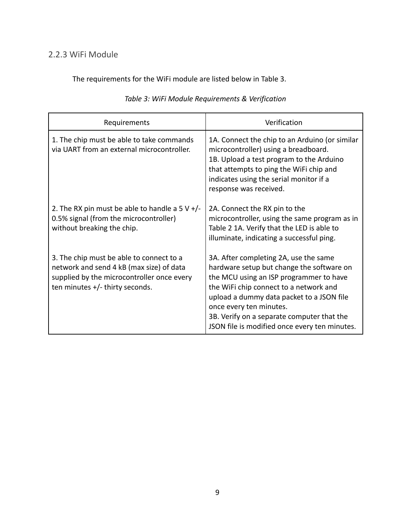### <span id="page-9-0"></span>2.2.3 WiFi Module

The requirements for the WiFi module are listed below in Table 3.

<span id="page-9-1"></span>

| Requirements                                                                                                                                                            | Verification                                                                                                                                                                                                                                                                                                                                   |
|-------------------------------------------------------------------------------------------------------------------------------------------------------------------------|------------------------------------------------------------------------------------------------------------------------------------------------------------------------------------------------------------------------------------------------------------------------------------------------------------------------------------------------|
| 1. The chip must be able to take commands<br>via UART from an external microcontroller.                                                                                 | 1A. Connect the chip to an Arduino (or similar<br>microcontroller) using a breadboard.<br>1B. Upload a test program to the Arduino<br>that attempts to ping the WiFi chip and<br>indicates using the serial monitor if a<br>response was received.                                                                                             |
| 2. The RX pin must be able to handle a 5 V $+/-$<br>0.5% signal (from the microcontroller)<br>without breaking the chip.                                                | 2A. Connect the RX pin to the<br>microcontroller, using the same program as in<br>Table 2 1A. Verify that the LED is able to<br>illuminate, indicating a successful ping.                                                                                                                                                                      |
| 3. The chip must be able to connect to a<br>network and send 4 kB (max size) of data<br>supplied by the microcontroller once every<br>ten minutes $+/-$ thirty seconds. | 3A. After completing 2A, use the same<br>hardware setup but change the software on<br>the MCU using an ISP programmer to have<br>the WiFi chip connect to a network and<br>upload a dummy data packet to a JSON file<br>once every ten minutes.<br>3B. Verify on a separate computer that the<br>JSON file is modified once every ten minutes. |

#### *Table 3: WiFi Module Requirements & Verification*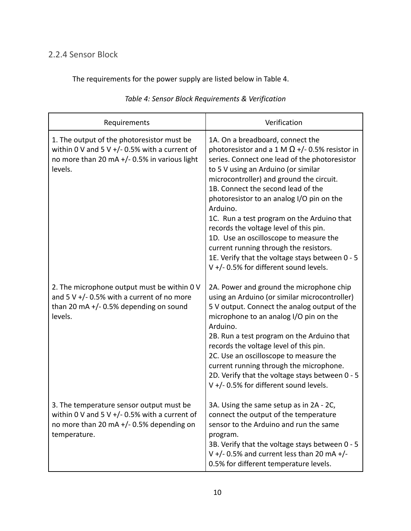## 2.2.4 Sensor Block

The requirements for the power supply are listed below in Table 4.

| Requirements                                                                                                                                            | Verification                                                                                                                                                                                                                                                                                                                                                                                                                                                                                                                                                                                          |
|---------------------------------------------------------------------------------------------------------------------------------------------------------|-------------------------------------------------------------------------------------------------------------------------------------------------------------------------------------------------------------------------------------------------------------------------------------------------------------------------------------------------------------------------------------------------------------------------------------------------------------------------------------------------------------------------------------------------------------------------------------------------------|
| 1. The output of the photoresistor must be<br>within 0 V and 5 V +/- 0.5% with a current of<br>no more than 20 mA +/- 0.5% in various light<br>levels.  | 1A. On a breadboard, connect the<br>photoresistor and a 1 M $\Omega$ +/- 0.5% resistor in<br>series. Connect one lead of the photoresistor<br>to 5 V using an Arduino (or similar<br>microcontroller) and ground the circuit.<br>1B. Connect the second lead of the<br>photoresistor to an analog I/O pin on the<br>Arduino.<br>1C. Run a test program on the Arduino that<br>records the voltage level of this pin.<br>1D. Use an oscilloscope to measure the<br>current running through the resistors.<br>1E. Verify that the voltage stays between 0 - 5<br>V +/- 0.5% for different sound levels. |
| 2. The microphone output must be within 0 V<br>and 5 V $+/-$ 0.5% with a current of no more<br>than 20 mA $+/-$ 0.5% depending on sound<br>levels.      | 2A. Power and ground the microphone chip<br>using an Arduino (or similar microcontroller)<br>5 V output. Connect the analog output of the<br>microphone to an analog I/O pin on the<br>Arduino.<br>2B. Run a test program on the Arduino that<br>records the voltage level of this pin.<br>2C. Use an oscilloscope to measure the<br>current running through the microphone.<br>2D. Verify that the voltage stays between 0 - 5<br>V +/- 0.5% for different sound levels.                                                                                                                             |
| 3. The temperature sensor output must be<br>within 0 V and 5 V +/- 0.5% with a current of<br>no more than 20 mA $+/-$ 0.5% depending on<br>temperature. | 3A. Using the same setup as in 2A - 2C,<br>connect the output of the temperature<br>sensor to the Arduino and run the same<br>program.<br>3B. Verify that the voltage stays between 0 - 5<br>V +/- 0.5% and current less than 20 mA +/-<br>0.5% for different temperature levels.                                                                                                                                                                                                                                                                                                                     |

#### *Table 4: Sensor Block Requirements & Verification*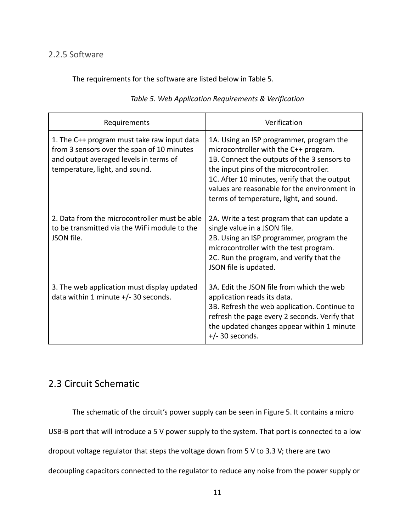#### 2.2.5 Software

The requirements for the software are listed below in Table 5.

| Requirements                                                                                                                                                          | Verification                                                                                                                                                                                                                                                                                                          |
|-----------------------------------------------------------------------------------------------------------------------------------------------------------------------|-----------------------------------------------------------------------------------------------------------------------------------------------------------------------------------------------------------------------------------------------------------------------------------------------------------------------|
| 1. The C++ program must take raw input data<br>from 3 sensors over the span of 10 minutes<br>and output averaged levels in terms of<br>temperature, light, and sound. | 1A. Using an ISP programmer, program the<br>microcontroller with the C++ program.<br>1B. Connect the outputs of the 3 sensors to<br>the input pins of the microcontroller.<br>1C. After 10 minutes, verify that the output<br>values are reasonable for the environment in<br>terms of temperature, light, and sound. |
| 2. Data from the microcontroller must be able<br>to be transmitted via the WiFi module to the<br>JSON file.                                                           | 2A. Write a test program that can update a<br>single value in a JSON file.<br>2B. Using an ISP programmer, program the<br>microcontroller with the test program.<br>2C. Run the program, and verify that the<br>JSON file is updated.                                                                                 |
| 3. The web application must display updated<br>data within 1 minute $+/-$ 30 seconds.                                                                                 | 3A. Edit the JSON file from which the web<br>application reads its data.<br>3B. Refresh the web application. Continue to<br>refresh the page every 2 seconds. Verify that<br>the updated changes appear within 1 minute<br>$+/- 30$ seconds.                                                                          |

#### *Table 5. Web Application Requirements & Verification*

## 2.3 Circuit Schematic

The schematic of the circuit's power supply can be seen in Figure 5. It contains a micro

USB-B port that will introduce a 5 V power supply to the system. That port is connected to a low

dropout voltage regulator that steps the voltage down from 5 V to 3.3 V; there are two

decoupling capacitors connected to the regulator to reduce any noise from the power supply or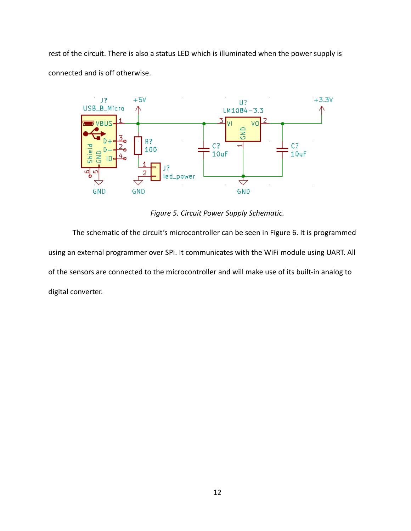rest of the circuit. There is also a status LED which is illuminated when the power supply is connected and is off otherwise.



*Figure 5. Circuit Power Supply Schematic.*

The schematic of the circuit's microcontroller can be seen in Figure 6. It is programmed using an external programmer over SPI. It communicates with the WiFi module using UART. All of the sensors are connected to the microcontroller and will make use of its built-in analog to digital converter.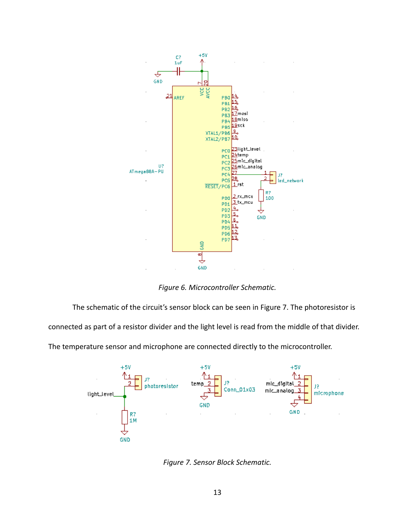

*Figure 6. Microcontroller Schematic.*

The schematic of the circuit's sensor block can be seen in Figure 7. The photoresistor is

connected as part of a resistor divider and the light level is read from the middle of that divider.

The temperature sensor and microphone are connected directly to the microcontroller.



*Figure 7. Sensor Block Schematic.*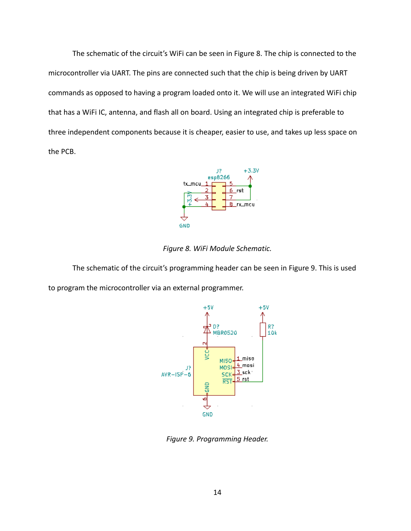The schematic of the circuit's WiFi can be seen in Figure 8. The chip is connected to the microcontroller via UART. The pins are connected such that the chip is being driven by UART commands as opposed to having a program loaded onto it. We will use an integrated WiFi chip that has a WiFi IC, antenna, and flash all on board. Using an integrated chip is preferable to three independent components because it is cheaper, easier to use, and takes up less space on the PCB.



*Figure 8. WiFi Module Schematic.*

The schematic of the circuit's programming header can be seen in Figure 9. This is used to program the microcontroller via an external programmer.



*Figure 9. Programming Header.*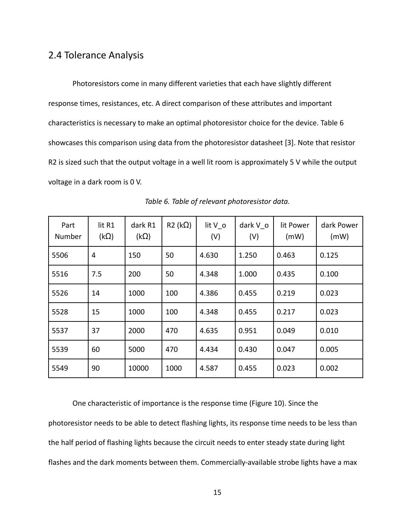#### <span id="page-15-0"></span>2.4 Tolerance Analysis

Photoresistors come in many different varieties that each have slightly different response times, resistances, etc. A direct comparison of these attributes and important characteristics is necessary to make an optimal photoresistor choice for the device. Table 6 showcases this comparison using data from the photoresistor datasheet [3]. Note that resistor R2 is sized such that the output voltage in a well lit room is approximately 5 V while the output voltage in a dark room is 0 V.

| Part<br>Number | lit R1<br>$(k\Omega)$ | dark R1<br>$(k\Omega)$ | $R2 (k\Omega)$ | lit $V_0$<br>(V) | dark V o<br>(V) | lit Power<br>(mW) | dark Power<br>(mW) |
|----------------|-----------------------|------------------------|----------------|------------------|-----------------|-------------------|--------------------|
| 5506           | 4                     | 150                    | 50             | 4.630            | 1.250           | 0.463             | 0.125              |
| 5516           | 7.5                   | 200                    | 50             | 4.348            | 1.000           | 0.435             | 0.100              |
| 5526           | 14                    | 1000                   | 100            | 4.386            | 0.455           | 0.219             | 0.023              |
| 5528           | 15                    | 1000                   | 100            | 4.348            | 0.455           | 0.217             | 0.023              |
| 5537           | 37                    | 2000                   | 470            | 4.635            | 0.951           | 0.049             | 0.010              |
| 5539           | 60                    | 5000                   | 470            | 4.434            | 0.430           | 0.047             | 0.005              |
| 5549           | 90                    | 10000                  | 1000           | 4.587            | 0.455           | 0.023             | 0.002              |

*Table 6. Table of relevant photoresistor data.*

One characteristic of importance is the response time (Figure 10). Since the photoresistor needs to be able to detect flashing lights, its response time needs to be less than the half period of flashing lights because the circuit needs to enter steady state during light flashes and the dark moments between them. Commercially-available strobe lights have a max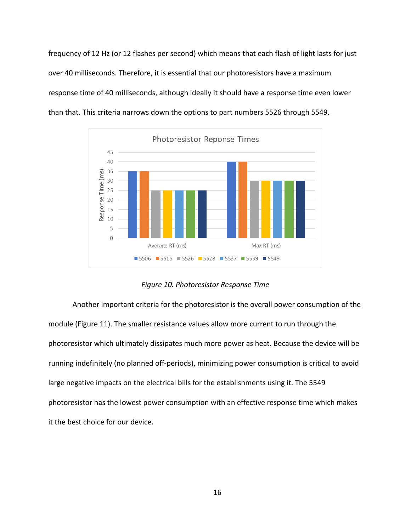frequency of 12 Hz (or 12 flashes per second) which means that each flash of light lasts for just over 40 milliseconds. Therefore, it is essential that our photoresistors have a maximum response time of 40 milliseconds, although ideally it should have a response time even lower than that. This criteria narrows down the options to part numbers 5526 through 5549.



*Figure 10. Photoresistor Response Time*

Another important criteria for the photoresistor is the overall power consumption of the module (Figure 11). The smaller resistance values allow more current to run through the photoresistor which ultimately dissipates much more power as heat. Because the device will be running indefinitely (no planned off-periods), minimizing power consumption is critical to avoid large negative impacts on the electrical bills for the establishments using it. The 5549 photoresistor has the lowest power consumption with an effective response time which makes it the best choice for our device.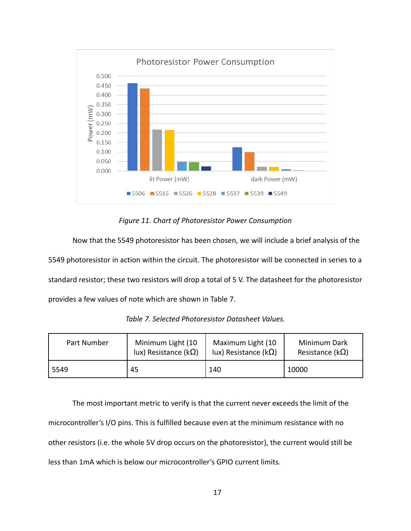

*Figure 11. Chart of Photoresistor Power Consumption*

Now that the 5549 photoresistor has been chosen, we will include a brief analysis of the 5549 photoresistor in action within the circuit. The photoresistor will be connected in series to a standard resistor; these two resistors will drop a total of 5 V. The datasheet for the photoresistor provides a few values of note which are shown in Table 7.

| Part Number | Minimum Light (10    | Maximum Light (10             | Minimum Dark             |
|-------------|----------------------|-------------------------------|--------------------------|
|             | lux) Resistance (kΩ) | lux) Resistance ( $k\Omega$ ) | Resistance ( $k\Omega$ ) |
| 5549        | 45                   | 140                           | 10000                    |

*Table 7. Selected Photoresistor Datasheet Values.*

The most important metric to verify is that the current never exceeds the limit of the microcontroller's I/O pins. This is fulfilled because even at the minimum resistance with no other resistors (i.e. the whole 5V drop occurs on the photoresistor), the current would still be less than 1mA which is below our microcontroller's GPIO current limits.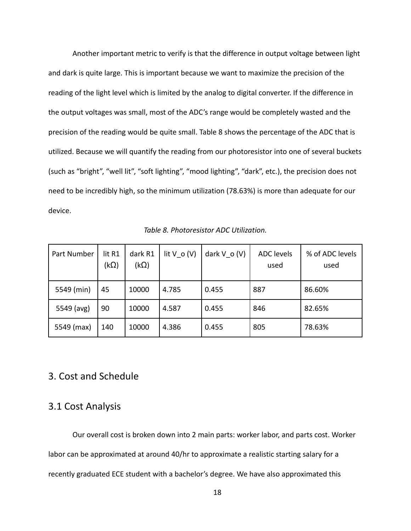Another important metric to verify is that the difference in output voltage between light and dark is quite large. This is important because we want to maximize the precision of the reading of the light level which is limited by the analog to digital converter. If the difference in the output voltages was small, most of the ADC's range would be completely wasted and the precision of the reading would be quite small. Table 8 shows the percentage of the ADC that is utilized. Because we will quantify the reading from our photoresistor into one of several buckets (such as "bright", "well lit", "soft lighting", "mood lighting", "dark", etc.), the precision does not need to be incredibly high, so the minimum utilization (78.63%) is more than adequate for our device.

| Part Number | lit R1<br>(k $\Omega$ ) | dark R1<br>$(k\Omega)$ | lit $V$ o $(V)$ | dark $V$ o $(V)$ | <b>ADC</b> levels<br>used | % of ADC levels<br>used |
|-------------|-------------------------|------------------------|-----------------|------------------|---------------------------|-------------------------|
| 5549 (min)  | 45                      | 10000                  | 4.785           | 0.455            | 887                       | 86.60%                  |
| 5549 (avg)  | 90                      | 10000                  | 4.587           | 0.455            | 846                       | 82.65%                  |
| 5549 (max)  | 140                     | 10000                  | 4.386           | 0.455            | 805                       | 78.63%                  |

*Table 8. Photoresistor ADC Utilization.*

#### <span id="page-18-0"></span>3. Cost and Schedule

### <span id="page-18-1"></span>3.1 Cost Analysis

Our overall cost is broken down into 2 main parts: worker labor, and parts cost. Worker labor can be approximated at around 40/hr to approximate a realistic starting salary for a recently graduated ECE student with a bachelor's degree. We have also approximated this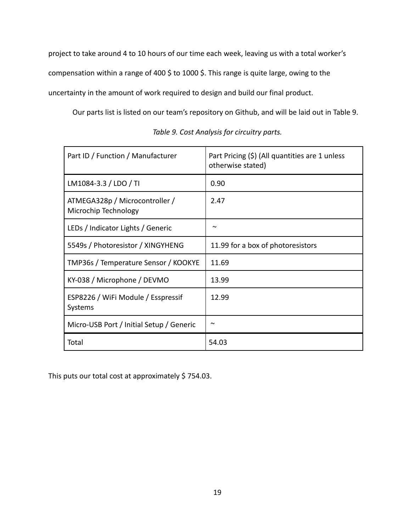project to take around 4 to 10 hours of our time each week, leaving us with a total worker's compensation within a range of 400 \$ to 1000 \$. This range is quite large, owing to the uncertainty in the amount of work required to design and build our final product.

Our parts list is listed on our team's repository on Github, and will be laid out in Table 9.

| Part ID / Function / Manufacturer                      | Part Pricing (\$) (All quantities are 1 unless<br>otherwise stated) |
|--------------------------------------------------------|---------------------------------------------------------------------|
| LM1084-3.3 / LDO / TI                                  | 0.90                                                                |
| ATMEGA328p / Microcontroller /<br>Microchip Technology | 2.47                                                                |
| LEDs / Indicator Lights / Generic                      | $\sim$                                                              |
| 5549s / Photoresistor / XINGYHENG                      | 11.99 for a box of photoresistors                                   |
| TMP36s / Temperature Sensor / KOOKYE                   | 11.69                                                               |
| KY-038 / Microphone / DEVMO                            | 13.99                                                               |
| ESP8226 / WiFi Module / Esspressif<br>Systems          | 12.99                                                               |
| Micro-USB Port / Initial Setup / Generic               | $\sim$                                                              |
| Total                                                  | 54.03                                                               |

*Table 9. Cost Analysis for circuitry parts.*

This puts our total cost at approximately \$754.03.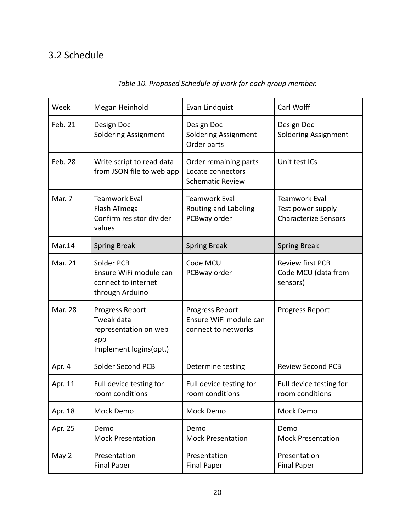## 3.2 Schedule

| Week           | Megan Heinhold                                                                          | Evan Lindquist                                                        | Carl Wolff                                                               |
|----------------|-----------------------------------------------------------------------------------------|-----------------------------------------------------------------------|--------------------------------------------------------------------------|
| Feb. 21        | Design Doc<br><b>Soldering Assignment</b>                                               | Design Doc<br><b>Soldering Assignment</b><br>Order parts              | Design Doc<br><b>Soldering Assignment</b>                                |
| Feb. 28        | Write script to read data<br>from JSON file to web app                                  | Order remaining parts<br>Locate connectors<br><b>Schematic Review</b> | Unit test ICs                                                            |
| Mar. 7         | <b>Teamwork Eval</b><br>Flash ATmega<br>Confirm resistor divider<br>values              | <b>Teamwork Eval</b><br>Routing and Labeling<br>PCBway order          | <b>Teamwork Eval</b><br>Test power supply<br><b>Characterize Sensors</b> |
| Mar.14         | <b>Spring Break</b>                                                                     | <b>Spring Break</b>                                                   | <b>Spring Break</b>                                                      |
| <b>Mar. 21</b> | Solder PCB<br>Ensure WiFi module can<br>connect to internet<br>through Arduino          | Code MCU<br>PCBway order                                              | <b>Review first PCB</b><br>Code MCU (data from<br>sensors)               |
| <b>Mar. 28</b> | Progress Report<br>Tweak data<br>representation on web<br>app<br>Implement logins(opt.) | Progress Report<br>Ensure WiFi module can<br>connect to networks      | Progress Report                                                          |
| Apr. 4         | Solder Second PCB                                                                       | Determine testing                                                     | <b>Review Second PCB</b>                                                 |
| Apr. 11        | Full device testing for<br>room conditions                                              | Full device testing for<br>room conditions                            | Full device testing for<br>room conditions                               |
| Apr. 18        | Mock Demo                                                                               | Mock Demo                                                             | Mock Demo                                                                |
| Apr. 25        | Demo<br><b>Mock Presentation</b>                                                        | Demo<br><b>Mock Presentation</b>                                      | Demo<br><b>Mock Presentation</b>                                         |
| May 2          | Presentation<br><b>Final Paper</b>                                                      | Presentation<br><b>Final Paper</b>                                    | Presentation<br><b>Final Paper</b>                                       |

## *Table 10. Proposed Schedule of work for each group member.*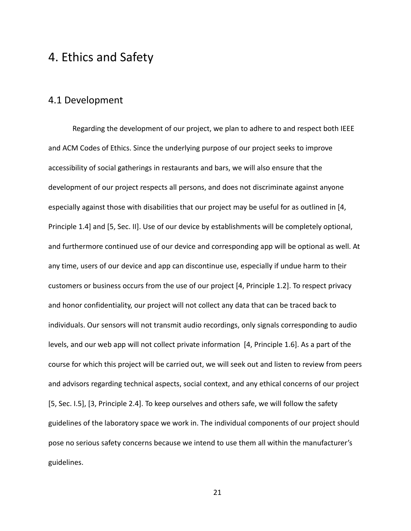## <span id="page-21-0"></span>4. Ethics and Safety

## <span id="page-21-1"></span>4.1 Development

Regarding the development of our project, we plan to adhere to and respect both IEEE and ACM Codes of Ethics. Since the underlying purpose of our project seeks to improve accessibility of social gatherings in restaurants and bars, we will also ensure that the development of our project respects all persons, and does not discriminate against anyone especially against those with disabilities that our project may be useful for as outlined in [4, Principle 1.4] and [5, Sec. II]. Use of our device by establishments will be completely optional, and furthermore continued use of our device and corresponding app will be optional as well. At any time, users of our device and app can discontinue use, especially if undue harm to their customers or business occurs from the use of our project [4, Principle 1.2]. To respect privacy and honor confidentiality, our project will not collect any data that can be traced back to individuals. Our sensors will not transmit audio recordings, only signals corresponding to audio levels, and our web app will not collect private information [4, Principle 1.6]. As a part of the course for which this project will be carried out, we will seek out and listen to review from peers and advisors regarding technical aspects, social context, and any ethical concerns of our project [5, Sec. I.5], [3, Principle 2.4]. To keep ourselves and others safe, we will follow the safety guidelines of the laboratory space we work in. The individual components of our project should pose no serious safety concerns because we intend to use them all within the manufacturer's guidelines.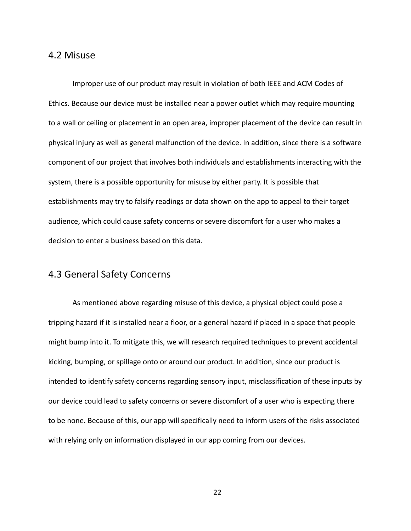#### <span id="page-22-0"></span>4.2 Misuse

Improper use of our product may result in violation of both IEEE and ACM Codes of Ethics. Because our device must be installed near a power outlet which may require mounting to a wall or ceiling or placement in an open area, improper placement of the device can result in physical injury as well as general malfunction of the device. In addition, since there is a software component of our project that involves both individuals and establishments interacting with the system, there is a possible opportunity for misuse by either party. It is possible that establishments may try to falsify readings or data shown on the app to appeal to their target audience, which could cause safety concerns or severe discomfort for a user who makes a decision to enter a business based on this data.

## <span id="page-22-1"></span>4.3 General Safety Concerns

As mentioned above regarding misuse of this device, a physical object could pose a tripping hazard if it is installed near a floor, or a general hazard if placed in a space that people might bump into it. To mitigate this, we will research required techniques to prevent accidental kicking, bumping, or spillage onto or around our product. In addition, since our product is intended to identify safety concerns regarding sensory input, misclassification of these inputs by our device could lead to safety concerns or severe discomfort of a user who is expecting there to be none. Because of this, our app will specifically need to inform users of the risks associated with relying only on information displayed in our app coming from our devices.